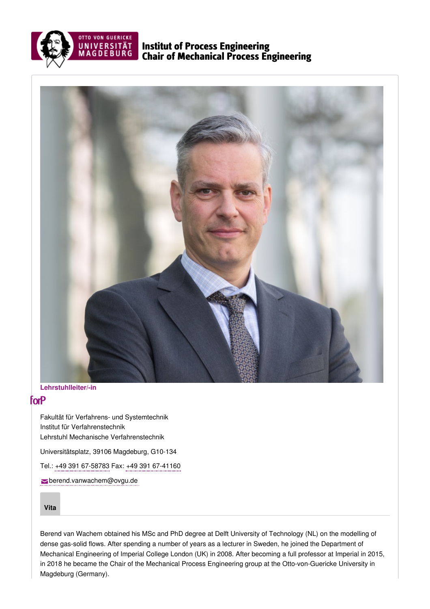

Institut of Process Engineering Chair of Mechanical Process Engineering



**Lehrstuhlleiter/-in**

## <span id="page-0-0"></span>forP

Fakultät für Verfahrens- und Systemtechnik Institut für Verfahrenstechnik Lehrstuhl Mechanische Verfahrenstechnik

Universitätsplatz, 39106 Magdeburg, G10-134

Tel.: +49 391 [67-58783](tel: +49 391 67-58783) Fax: +49 391 [67-41160](tel: +49 391 67-41160)

[berend.vanwachem@ovgu.de](mailto:berend.vanwachem@ovgu.de)

**[Vita](#page-0-0)**

Berend van Wachem obtained his MSc and PhD degree at Delft University of Technology (NL) on the modelling of dense gas-solid flows. After spending a number of years as a lecturer in Sweden, he joined the Department of Mechanical Engineering of Imperial College London (UK) in 2008. After becoming a full professor at Imperial in 2015, in 2018 he became the Chair of the Mechanical Process Engineering group at the Otto-von-Guericke University in Magdeburg (Germany).